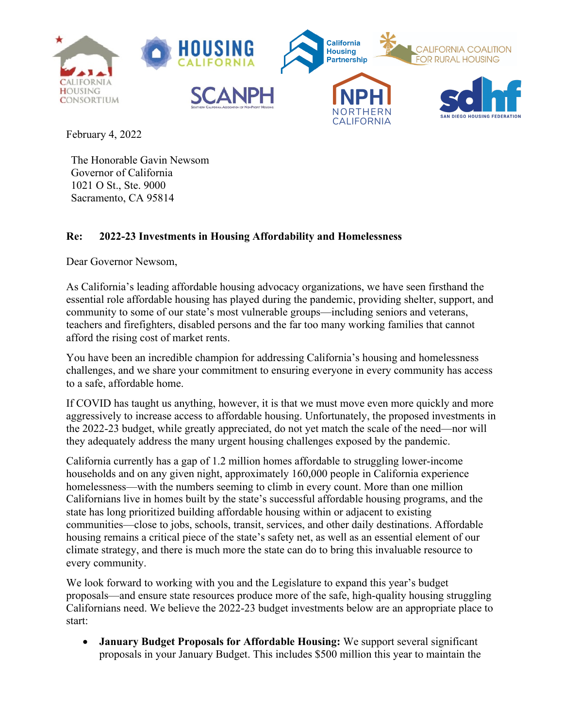

February 4, 2022

The Honorable Gavin Newsom Governor of California 1021 O St., Ste. 9000 Sacramento, CA 95814

## **Re: 2022-23 Investments in Housing Affordability and Homelessness**

Dear Governor Newsom,

As California's leading affordable housing advocacy organizations, we have seen firsthand the essential role affordable housing has played during the pandemic, providing shelter, support, and community to some of our state's most vulnerable groups—including seniors and veterans, teachers and firefighters, disabled persons and the far too many working families that cannot afford the rising cost of market rents.

You have been an incredible champion for addressing California's housing and homelessness challenges, and we share your commitment to ensuring everyone in every community has access to a safe, affordable home.

If COVID has taught us anything, however, it is that we must move even more quickly and more aggressively to increase access to affordable housing. Unfortunately, the proposed investments in the 2022-23 budget, while greatly appreciated, do not yet match the scale of the need—nor will they adequately address the many urgent housing challenges exposed by the pandemic.

California currently has a gap of 1.2 million homes affordable to struggling lower-income households and on any given night, approximately 160,000 people in California experience homelessness—with the numbers seeming to climb in every count. More than one million Californians live in homes built by the state's successful affordable housing programs, and the state has long prioritized building affordable housing within or adjacent to existing communities—close to jobs, schools, transit, services, and other daily destinations. Affordable housing remains a critical piece of the state's safety net, as well as an essential element of our climate strategy, and there is much more the state can do to bring this invaluable resource to every community.

We look forward to working with you and the Legislature to expand this year's budget proposals—and ensure state resources produce more of the safe, high-quality housing struggling Californians need. We believe the 2022-23 budget investments below are an appropriate place to start:

• **January Budget Proposals for Affordable Housing:** We support several significant proposals in your January Budget. This includes \$500 million this year to maintain the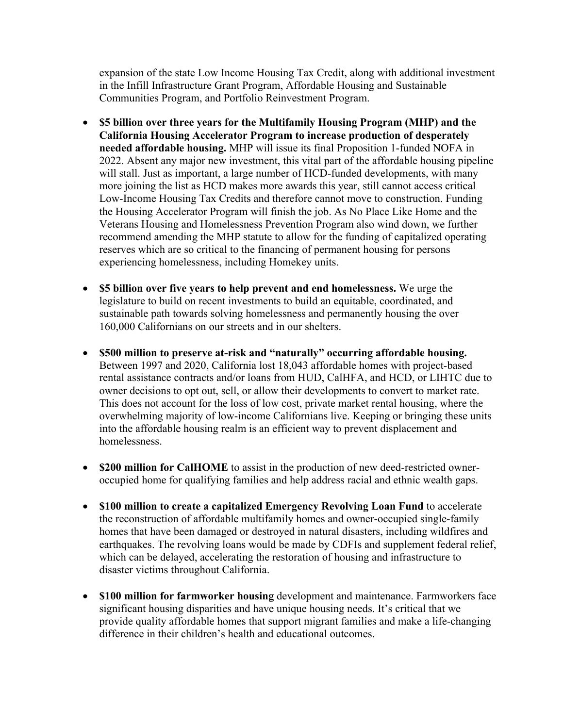expansion of the state Low Income Housing Tax Credit, along with additional investment in the Infill Infrastructure Grant Program, Affordable Housing and Sustainable Communities Program, and Portfolio Reinvestment Program.

- **\$5 billion over three years for the Multifamily Housing Program (MHP) and the California Housing Accelerator Program to increase production of desperately needed affordable housing.** MHP will issue its final Proposition 1-funded NOFA in 2022. Absent any major new investment, this vital part of the affordable housing pipeline will stall. Just as important, a large number of HCD-funded developments, with many more joining the list as HCD makes more awards this year, still cannot access critical Low-Income Housing Tax Credits and therefore cannot move to construction. Funding the Housing Accelerator Program will finish the job. As No Place Like Home and the Veterans Housing and Homelessness Prevention Program also wind down, we further recommend amending the MHP statute to allow for the funding of capitalized operating reserves which are so critical to the financing of permanent housing for persons experiencing homelessness, including Homekey units.
- **\$5 billion over five years to help prevent and end homelessness.** We urge the legislature to build on recent investments to build an equitable, coordinated, and sustainable path towards solving homelessness and permanently housing the over 160,000 Californians on our streets and in our shelters.
- **\$500 million to preserve at-risk and "naturally" occurring affordable housing.**  Between 1997 and 2020, California lost 18,043 affordable homes with project-based rental assistance contracts and/or loans from HUD, CalHFA, and HCD, or LIHTC due to owner decisions to opt out, sell, or allow their developments to convert to market rate. This does not account for the loss of low cost, private market rental housing, where the overwhelming majority of low-income Californians live. Keeping or bringing these units into the affordable housing realm is an efficient way to prevent displacement and homelessness.
- **\$200 million for CalHOME** to assist in the production of new deed-restricted owneroccupied home for qualifying families and help address racial and ethnic wealth gaps.
- **\$100 million to create a capitalized Emergency Revolving Loan Fund** to accelerate the reconstruction of affordable multifamily homes and owner-occupied single-family homes that have been damaged or destroyed in natural disasters, including wildfires and earthquakes. The revolving loans would be made by CDFIs and supplement federal relief, which can be delayed, accelerating the restoration of housing and infrastructure to disaster victims throughout California.
- **\$100 million for farmworker housing** development and maintenance. Farmworkers face significant housing disparities and have unique housing needs. It's critical that we provide quality affordable homes that support migrant families and make a life-changing difference in their children's health and educational outcomes.